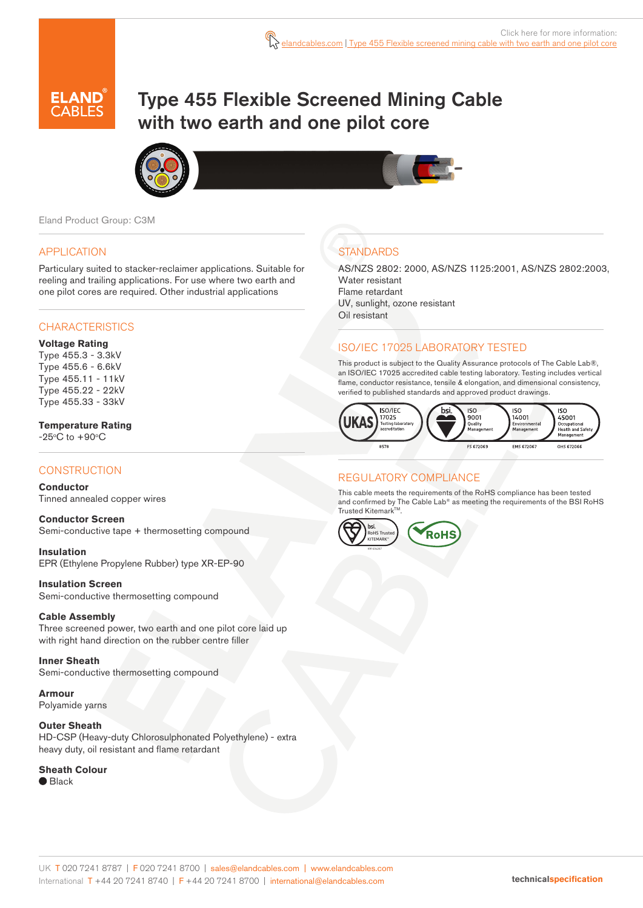

# Type 455 Flexible Screened Mining Cable with two earth and one pilot core



Eland Product Group: C3M

### APPLICATION

Particulary suited to stacker-reclaimer applications. Suitable for reeling and trailing applications. For use where two earth and one pilot cores are required. Other industrial applications

### **CHARACTERISTICS**

#### **Voltage Rating**

Type 455.3 - 3.3kV Type 455.6 - 6.6kV Type 455.11 - 11kV Type 455.22 - 22kV Type 455.33 - 33kV

### **Temperature Rating**

 $-25^{\circ}$ C to  $+90^{\circ}$ C

# **CONSTRUCTION**

### **Conductor**

Tinned annealed copper wires

**Conductor Screen** Semi-conductive tape + thermosetting compound

**Insulation** EPR (Ethylene Propylene Rubber) type XR-EP-90

# **Insulation Screen**

Semi-conductive thermosetting compound

### **Cable Assembly**

Three screened power, two earth and one pilot core laid up with right hand direction on the rubber centre filler

#### **Inner Sheath** Semi-conductive thermosetting compound

**Armour** Polyamide yarns

# **Outer Sheath**

HD-CSP (Heavy-duty Chlorosulphonated Polyethylene) - extra heavy duty, oil resistant and flame retardant

# **Sheath Colour**

● Black

# **STANDARDS**

AS/NZS 2802: 2000, AS/NZS 1125:2001, AS/NZS 2802:2003, Water resistant Flame retardant UV, sunlight, ozone resistant Oil resistant

# ISO/IEC 17025 LABORATORY TESTED

This product is subject to the Quality Assurance protocols of The Cable Lab®, an ISO/IEC 17025 accredited cable testing laboratory. Testing includes vertical flame, conductor resistance, tensile & elongation, and dimensional consistency, verified to published standards and approved product drawings.



# REGULATORY COMPLIANCE

This cable meets the requirements of the RoHS compliance has been tested and confirmed by The Cable Lab® as meeting the requirements of the BSI RoHS Trusted Kitemark™.

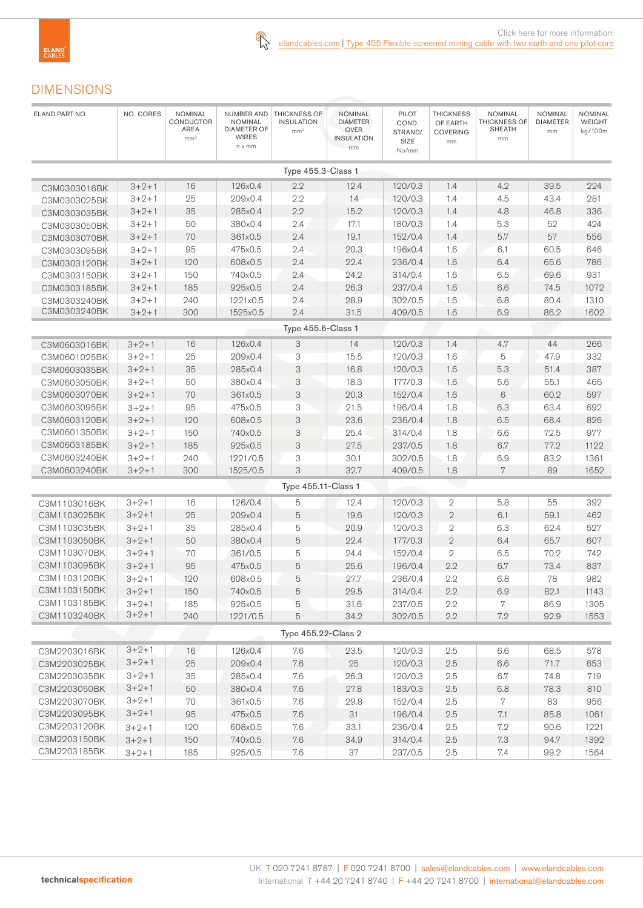

# DIMENSIONS

| Type $455.3$ -Class 1<br>2.2<br>$3 + 2 + 1$<br>16<br>126x0.4<br>12.4<br>120/0.3<br>1.4<br>4.2<br>39.5<br>224<br>C3M0303016BK<br>2.2<br>$3 + 2 + 1$<br>25<br>209x0.4<br>14<br>120/0.3<br>1.4<br>4.5<br>43.4<br>281<br>C3M0303025BK<br>35<br>2.2<br>46.8<br>$3 + 2 + 1$<br>285x0.4<br>15.2<br>120/0.3<br>1.4<br>4.8<br>336<br>C3M0303035BK<br>$3 + 2 + 1$<br>50<br>380x0.4<br>2.4<br>17.1<br>180/0.3<br>1.4<br>5.3<br>52<br>424<br>C3M0303050BK<br>2.4<br>$3 + 2 + 1$<br>70<br>361x0.5<br>19.1<br>152/0.4<br>1.4<br>5.7<br>57<br>556<br>C3M0303070BK<br>95<br>475x0.5<br>2.4<br>20.3<br>196x0.4<br>1.6<br>6.1<br>60.5<br>646<br>$3 + 2 + 1$<br>C3M0303095BK<br>2.4<br>65.6<br>$3 + 2 + 1$<br>120<br>608x0.5<br>22.4<br>236/0.4<br>1.6<br>6.4<br>786<br>C3M0303120BK<br>$3 + 2 + 1$<br>150<br>740x0.5<br>2.4<br>24.2<br>314/0.4<br>1.6<br>6.5<br>69.6<br>931<br>C3M0303150BK<br>26.3<br>1.6<br>$3 + 2 + 1$<br>185<br>925x0.5<br>2.4<br>237/0.4<br>6.6<br>74.5<br>1072<br>C3M0303185BK<br>$3 + 2 + 1$<br>240<br>1221x0.5<br>2.4<br>28.9<br>302/0.5<br>1.6<br>6.8<br>80.4<br>1310<br>C3M0303240BK<br>C3M0303240BK<br>$3 + 2 + 1$<br>300<br>1525x0.5<br>2.4<br>31.5<br>1.6<br>6.9<br>86.2<br>1602<br>409/0.5<br>Type 455.6-Class 1<br>16<br>126x0.4<br>120/0.3<br>1.4<br>44<br>266<br>$3 + 2 + 1$<br>3<br>14<br>4.7<br>C3M0603016BK<br>$3 + 2 + 1$<br>25<br>209x0.4<br>3<br>15.5<br>120/0.3<br>1.6<br>47.9<br>332<br>5<br>C3M0601025BK<br>$\ensuremath{\mathsf{3}}$<br>35<br>285x0.4<br>16.8<br>120/0.3<br>1.6<br>5.3<br>51.4<br>387<br>$3 + 2 + 1$<br>C3M0603035BK<br>$3 + 2 + 1$<br>50<br>380×0.4<br>3<br>18.3<br>177/0.3<br>1.6<br>5.6<br>55.1<br>466<br>C3M0603050BK<br>$\ensuremath{\mathsf{3}}$<br>$6\,$<br>70<br>361x0.5<br>20.3<br>152/0.4<br>1.6<br>60.2<br>597<br>C3M0603070BK<br>$3 + 2 + 1$<br>3<br>C3M0603095BK<br>95<br>475x0.5<br>21.5<br>196/0.4<br>1.8<br>6.3<br>63.4<br>692<br>$3 + 2 + 1$<br>$\ensuremath{\mathsf{3}}$<br>23.6<br>C3M0603120BK<br>120<br>236/0.4<br>1.8<br>6.5<br>68.4<br>826<br>$3 + 2 + 1$<br>608x0.5<br>C3M0601350BK<br>3<br>25.4<br>977<br>$3 + 2 + 1$<br>150<br>740x0.5<br>314/0.4<br>1.8<br>6.6<br>72.5<br>C3M0603185BK<br>3<br>27.5<br>77.2<br>185<br>925x0.5<br>237/0.5<br>1.8<br>6.7<br>1122<br>$3 + 2 + 1$<br>C3M0603240BK<br>240<br>1221/0.5<br>3<br>30.1<br>302/0.5<br>1.8<br>6.9<br>83.2<br>1361<br>$3 + 2 + 1$<br>3<br>$3 + 2 + 1$<br>300<br>32.7<br>1.8<br>$\overline{7}$<br>89<br>C3M0603240BK<br>1525/0.5<br>409/0.5<br>1652<br>Type 455.11-Class 1<br>$3 + 2 + 1$<br>16<br>126/0.4<br>120/0.3<br>5.8<br>55<br>5<br>12.4<br>$\mathfrak{2}$<br>392<br>C3M1103016BK<br>25<br>5<br>$\sqrt{2}$<br>6.1<br>59.1<br>$3 + 2 + 1$<br>209x0.4<br>19.6<br>120/0.3<br>462<br>C3M1103025BK<br>$3 + 2 + 1$<br>C3M1103035BK<br>35<br>285x0.4<br>5<br>20.9<br>120/0.3<br>$\sqrt{2}$<br>6.3<br>62.4<br>527<br>5<br>$\sqrt{2}$<br>C3M1103050BK<br>$3 + 2 + 1$<br>50<br>380x0.4<br>22.4<br>177/0.3<br>6.4<br>65.7<br>607<br>C3M1103070BK<br>$3 + 2 + 1$<br>70<br>361/0.5<br>5<br>24.4<br>152/0.4<br>$\mathbf{2}$<br>70.2<br>742<br>6.5<br>73.4<br>C3M1103095BK<br>95<br>5<br>25.6<br>196/0.4<br>2.2<br>6.7<br>837<br>$3 + 2 + 1$<br>475x0.5<br>C3M1103120BK<br>$3 + 2 + 1$<br>5<br>236/0.4<br>2.2<br>78<br>982<br>120<br>608x0.5<br>27.7<br>6.8<br>C3M1103150BK<br>150<br>740x0.5<br>29.5<br>314/0.4<br>6.9<br>82.1<br>$3 + 2 + 1$<br>5<br>2.2<br>1143<br>C3M1103185BK<br>$3 + 2 + 1$<br>925x0.5<br>237/0.5<br>2.2<br>7<br>1305<br>185<br>5<br>31.6<br>86.9<br>$3 + 2 + 1$<br>C3M1103240BK<br>5<br>2.2<br>7.2<br>92.9<br>240<br>1221/0.5<br>34.2<br>302/0.5<br>1553<br>Type 455.22-Class 2<br>$3 + 2 + 1$<br>126x0.4<br>7.6<br>23.5<br>120/0.3<br>2.5<br>68.5<br>578<br>16<br>6.6<br>C3M2203016BK<br>$3 + 2 + 1$<br>7.6<br>25<br>71.7<br>25<br>209x0.4<br>120/0.3<br>2.5<br>6.6<br>653<br>C3M2203025BK<br>$3 + 2 + 1$<br>285x0.4<br>120/0.3<br>C3M2203035BK<br>35<br>7.6<br>26.3<br>2.5<br>6.7<br>74.8<br>719<br>$3 + 2 + 1$<br>C3M2203050BK<br>78.3<br>50<br>380x0.4<br>7.6<br>27.8<br>183/0.3<br>2.5<br>6.8<br>810<br>$3 + 2 + 1$<br>C3M2203070BK<br>70<br>361x0.5<br>7.6<br>29.8<br>152/0.4<br>2.5<br>7<br>83<br>956<br>$3 + 2 + 1$<br>C3M2203095BK<br>95<br>475x0.5<br>7.6<br>31<br>196/0.4<br>2.5<br>7.1<br>85.8<br>1061<br>C3M2203120BK<br>7.6<br>120<br>608x0.5<br>33.1<br>236/0.4<br>2.5<br>7.2<br>90.6<br>1221<br>$3 + 2 + 1$<br>C3M2203150BK<br>150<br>740x0.5<br>7.6<br>34.9<br>314/0.4<br>2.5<br>7.3<br>94.7<br>1392<br>$3 + 2 + 1$<br>C3M2203185BK<br>925/0.5<br>$7.6\,$<br>37<br>237/0.5<br>2.5<br>185<br>7.4<br>99.2<br>1564<br>$3 + 2 + 1$ | ELAND PART NO. | NO. CORES | <b>NOMINAL</b><br><b>CONDUCTOR</b><br>AREA<br>mm <sup>2</sup> | NUMBER AND<br><b>NOMINAL</b><br><b>DIAMETER OF</b><br><b>WIRES</b><br>$n \times mm$ | THICKNESS OF<br><b>INSULATION</b><br>mm <sup>2</sup> | <b>NOMINAL</b><br><b>DIAMETER</b><br><b>OVER</b><br><b>INSULATION</b><br>mm | <b>PILOT</b><br>COND.<br>STRAND/<br>SIZE<br>No/mm | <b>THICKNESS</b><br>OF EARTH<br><b>COVERING</b><br>mm | <b>NOMINAL</b><br><b>THICKNESS OF</b><br><b>SHEATH</b><br>mm | NOMINAL<br><b>DIAMETER</b><br>mm | <b>NOMINAL</b><br><b>WEIGHT</b><br>kg/100m |
|---------------------------------------------------------------------------------------------------------------------------------------------------------------------------------------------------------------------------------------------------------------------------------------------------------------------------------------------------------------------------------------------------------------------------------------------------------------------------------------------------------------------------------------------------------------------------------------------------------------------------------------------------------------------------------------------------------------------------------------------------------------------------------------------------------------------------------------------------------------------------------------------------------------------------------------------------------------------------------------------------------------------------------------------------------------------------------------------------------------------------------------------------------------------------------------------------------------------------------------------------------------------------------------------------------------------------------------------------------------------------------------------------------------------------------------------------------------------------------------------------------------------------------------------------------------------------------------------------------------------------------------------------------------------------------------------------------------------------------------------------------------------------------------------------------------------------------------------------------------------------------------------------------------------------------------------------------------------------------------------------------------------------------------------------------------------------------------------------------------------------------------------------------------------------------------------------------------------------------------------------------------------------------------------------------------------------------------------------------------------------------------------------------------------------------------------------------------------------------------------------------------------------------------------------------------------------------------------------------------------------------------------------------------------------------------------------------------------------------------------------------------------------------------------------------------------------------------------------------------------------------------------------------------------------------------------------------------------------------------------------------------------------------------------------------------------------------------------------------------------------------------------------------------------------------------------------------------------------------------------------------------------------------------------------------------------------------------------------------------------------------------------------------------------------------------------------------------------------------------------------------------------------------------------------------------------------------------------------------------------------------------------------------------------------------------------------------------------------------------------------------------------------------------------------------------------------------------------------------------------------------------------------------------------------------------------------------------------------------------------------------------------------------------------------------------------------------------------------------------------------------------------------------------------------------------------------------------------------------------------------------------------------------------------------------------------------------------------------------------------------------------------------------------------------------------------------------------------------------------------------------------------------------------------------------------------------------------|----------------|-----------|---------------------------------------------------------------|-------------------------------------------------------------------------------------|------------------------------------------------------|-----------------------------------------------------------------------------|---------------------------------------------------|-------------------------------------------------------|--------------------------------------------------------------|----------------------------------|--------------------------------------------|
|                                                                                                                                                                                                                                                                                                                                                                                                                                                                                                                                                                                                                                                                                                                                                                                                                                                                                                                                                                                                                                                                                                                                                                                                                                                                                                                                                                                                                                                                                                                                                                                                                                                                                                                                                                                                                                                                                                                                                                                                                                                                                                                                                                                                                                                                                                                                                                                                                                                                                                                                                                                                                                                                                                                                                                                                                                                                                                                                                                                                                                                                                                                                                                                                                                                                                                                                                                                                                                                                                                                                                                                                                                                                                                                                                                                                                                                                                                                                                                                                                                                                                                                                                                                                                                                                                                                                                                                                                                                                                                                                                                                       |                |           |                                                               |                                                                                     |                                                      |                                                                             |                                                   |                                                       |                                                              |                                  |                                            |
|                                                                                                                                                                                                                                                                                                                                                                                                                                                                                                                                                                                                                                                                                                                                                                                                                                                                                                                                                                                                                                                                                                                                                                                                                                                                                                                                                                                                                                                                                                                                                                                                                                                                                                                                                                                                                                                                                                                                                                                                                                                                                                                                                                                                                                                                                                                                                                                                                                                                                                                                                                                                                                                                                                                                                                                                                                                                                                                                                                                                                                                                                                                                                                                                                                                                                                                                                                                                                                                                                                                                                                                                                                                                                                                                                                                                                                                                                                                                                                                                                                                                                                                                                                                                                                                                                                                                                                                                                                                                                                                                                                                       |                |           |                                                               |                                                                                     |                                                      |                                                                             |                                                   |                                                       |                                                              |                                  |                                            |
|                                                                                                                                                                                                                                                                                                                                                                                                                                                                                                                                                                                                                                                                                                                                                                                                                                                                                                                                                                                                                                                                                                                                                                                                                                                                                                                                                                                                                                                                                                                                                                                                                                                                                                                                                                                                                                                                                                                                                                                                                                                                                                                                                                                                                                                                                                                                                                                                                                                                                                                                                                                                                                                                                                                                                                                                                                                                                                                                                                                                                                                                                                                                                                                                                                                                                                                                                                                                                                                                                                                                                                                                                                                                                                                                                                                                                                                                                                                                                                                                                                                                                                                                                                                                                                                                                                                                                                                                                                                                                                                                                                                       |                |           |                                                               |                                                                                     |                                                      |                                                                             |                                                   |                                                       |                                                              |                                  |                                            |
|                                                                                                                                                                                                                                                                                                                                                                                                                                                                                                                                                                                                                                                                                                                                                                                                                                                                                                                                                                                                                                                                                                                                                                                                                                                                                                                                                                                                                                                                                                                                                                                                                                                                                                                                                                                                                                                                                                                                                                                                                                                                                                                                                                                                                                                                                                                                                                                                                                                                                                                                                                                                                                                                                                                                                                                                                                                                                                                                                                                                                                                                                                                                                                                                                                                                                                                                                                                                                                                                                                                                                                                                                                                                                                                                                                                                                                                                                                                                                                                                                                                                                                                                                                                                                                                                                                                                                                                                                                                                                                                                                                                       |                |           |                                                               |                                                                                     |                                                      |                                                                             |                                                   |                                                       |                                                              |                                  |                                            |
|                                                                                                                                                                                                                                                                                                                                                                                                                                                                                                                                                                                                                                                                                                                                                                                                                                                                                                                                                                                                                                                                                                                                                                                                                                                                                                                                                                                                                                                                                                                                                                                                                                                                                                                                                                                                                                                                                                                                                                                                                                                                                                                                                                                                                                                                                                                                                                                                                                                                                                                                                                                                                                                                                                                                                                                                                                                                                                                                                                                                                                                                                                                                                                                                                                                                                                                                                                                                                                                                                                                                                                                                                                                                                                                                                                                                                                                                                                                                                                                                                                                                                                                                                                                                                                                                                                                                                                                                                                                                                                                                                                                       |                |           |                                                               |                                                                                     |                                                      |                                                                             |                                                   |                                                       |                                                              |                                  |                                            |
|                                                                                                                                                                                                                                                                                                                                                                                                                                                                                                                                                                                                                                                                                                                                                                                                                                                                                                                                                                                                                                                                                                                                                                                                                                                                                                                                                                                                                                                                                                                                                                                                                                                                                                                                                                                                                                                                                                                                                                                                                                                                                                                                                                                                                                                                                                                                                                                                                                                                                                                                                                                                                                                                                                                                                                                                                                                                                                                                                                                                                                                                                                                                                                                                                                                                                                                                                                                                                                                                                                                                                                                                                                                                                                                                                                                                                                                                                                                                                                                                                                                                                                                                                                                                                                                                                                                                                                                                                                                                                                                                                                                       |                |           |                                                               |                                                                                     |                                                      |                                                                             |                                                   |                                                       |                                                              |                                  |                                            |
|                                                                                                                                                                                                                                                                                                                                                                                                                                                                                                                                                                                                                                                                                                                                                                                                                                                                                                                                                                                                                                                                                                                                                                                                                                                                                                                                                                                                                                                                                                                                                                                                                                                                                                                                                                                                                                                                                                                                                                                                                                                                                                                                                                                                                                                                                                                                                                                                                                                                                                                                                                                                                                                                                                                                                                                                                                                                                                                                                                                                                                                                                                                                                                                                                                                                                                                                                                                                                                                                                                                                                                                                                                                                                                                                                                                                                                                                                                                                                                                                                                                                                                                                                                                                                                                                                                                                                                                                                                                                                                                                                                                       |                |           |                                                               |                                                                                     |                                                      |                                                                             |                                                   |                                                       |                                                              |                                  |                                            |
|                                                                                                                                                                                                                                                                                                                                                                                                                                                                                                                                                                                                                                                                                                                                                                                                                                                                                                                                                                                                                                                                                                                                                                                                                                                                                                                                                                                                                                                                                                                                                                                                                                                                                                                                                                                                                                                                                                                                                                                                                                                                                                                                                                                                                                                                                                                                                                                                                                                                                                                                                                                                                                                                                                                                                                                                                                                                                                                                                                                                                                                                                                                                                                                                                                                                                                                                                                                                                                                                                                                                                                                                                                                                                                                                                                                                                                                                                                                                                                                                                                                                                                                                                                                                                                                                                                                                                                                                                                                                                                                                                                                       |                |           |                                                               |                                                                                     |                                                      |                                                                             |                                                   |                                                       |                                                              |                                  |                                            |
|                                                                                                                                                                                                                                                                                                                                                                                                                                                                                                                                                                                                                                                                                                                                                                                                                                                                                                                                                                                                                                                                                                                                                                                                                                                                                                                                                                                                                                                                                                                                                                                                                                                                                                                                                                                                                                                                                                                                                                                                                                                                                                                                                                                                                                                                                                                                                                                                                                                                                                                                                                                                                                                                                                                                                                                                                                                                                                                                                                                                                                                                                                                                                                                                                                                                                                                                                                                                                                                                                                                                                                                                                                                                                                                                                                                                                                                                                                                                                                                                                                                                                                                                                                                                                                                                                                                                                                                                                                                                                                                                                                                       |                |           |                                                               |                                                                                     |                                                      |                                                                             |                                                   |                                                       |                                                              |                                  |                                            |
|                                                                                                                                                                                                                                                                                                                                                                                                                                                                                                                                                                                                                                                                                                                                                                                                                                                                                                                                                                                                                                                                                                                                                                                                                                                                                                                                                                                                                                                                                                                                                                                                                                                                                                                                                                                                                                                                                                                                                                                                                                                                                                                                                                                                                                                                                                                                                                                                                                                                                                                                                                                                                                                                                                                                                                                                                                                                                                                                                                                                                                                                                                                                                                                                                                                                                                                                                                                                                                                                                                                                                                                                                                                                                                                                                                                                                                                                                                                                                                                                                                                                                                                                                                                                                                                                                                                                                                                                                                                                                                                                                                                       |                |           |                                                               |                                                                                     |                                                      |                                                                             |                                                   |                                                       |                                                              |                                  |                                            |
|                                                                                                                                                                                                                                                                                                                                                                                                                                                                                                                                                                                                                                                                                                                                                                                                                                                                                                                                                                                                                                                                                                                                                                                                                                                                                                                                                                                                                                                                                                                                                                                                                                                                                                                                                                                                                                                                                                                                                                                                                                                                                                                                                                                                                                                                                                                                                                                                                                                                                                                                                                                                                                                                                                                                                                                                                                                                                                                                                                                                                                                                                                                                                                                                                                                                                                                                                                                                                                                                                                                                                                                                                                                                                                                                                                                                                                                                                                                                                                                                                                                                                                                                                                                                                                                                                                                                                                                                                                                                                                                                                                                       |                |           |                                                               |                                                                                     |                                                      |                                                                             |                                                   |                                                       |                                                              |                                  |                                            |
|                                                                                                                                                                                                                                                                                                                                                                                                                                                                                                                                                                                                                                                                                                                                                                                                                                                                                                                                                                                                                                                                                                                                                                                                                                                                                                                                                                                                                                                                                                                                                                                                                                                                                                                                                                                                                                                                                                                                                                                                                                                                                                                                                                                                                                                                                                                                                                                                                                                                                                                                                                                                                                                                                                                                                                                                                                                                                                                                                                                                                                                                                                                                                                                                                                                                                                                                                                                                                                                                                                                                                                                                                                                                                                                                                                                                                                                                                                                                                                                                                                                                                                                                                                                                                                                                                                                                                                                                                                                                                                                                                                                       |                |           |                                                               |                                                                                     |                                                      |                                                                             |                                                   |                                                       |                                                              |                                  |                                            |
|                                                                                                                                                                                                                                                                                                                                                                                                                                                                                                                                                                                                                                                                                                                                                                                                                                                                                                                                                                                                                                                                                                                                                                                                                                                                                                                                                                                                                                                                                                                                                                                                                                                                                                                                                                                                                                                                                                                                                                                                                                                                                                                                                                                                                                                                                                                                                                                                                                                                                                                                                                                                                                                                                                                                                                                                                                                                                                                                                                                                                                                                                                                                                                                                                                                                                                                                                                                                                                                                                                                                                                                                                                                                                                                                                                                                                                                                                                                                                                                                                                                                                                                                                                                                                                                                                                                                                                                                                                                                                                                                                                                       |                |           |                                                               |                                                                                     |                                                      |                                                                             |                                                   |                                                       |                                                              |                                  |                                            |
|                                                                                                                                                                                                                                                                                                                                                                                                                                                                                                                                                                                                                                                                                                                                                                                                                                                                                                                                                                                                                                                                                                                                                                                                                                                                                                                                                                                                                                                                                                                                                                                                                                                                                                                                                                                                                                                                                                                                                                                                                                                                                                                                                                                                                                                                                                                                                                                                                                                                                                                                                                                                                                                                                                                                                                                                                                                                                                                                                                                                                                                                                                                                                                                                                                                                                                                                                                                                                                                                                                                                                                                                                                                                                                                                                                                                                                                                                                                                                                                                                                                                                                                                                                                                                                                                                                                                                                                                                                                                                                                                                                                       |                |           |                                                               |                                                                                     |                                                      |                                                                             |                                                   |                                                       |                                                              |                                  |                                            |
|                                                                                                                                                                                                                                                                                                                                                                                                                                                                                                                                                                                                                                                                                                                                                                                                                                                                                                                                                                                                                                                                                                                                                                                                                                                                                                                                                                                                                                                                                                                                                                                                                                                                                                                                                                                                                                                                                                                                                                                                                                                                                                                                                                                                                                                                                                                                                                                                                                                                                                                                                                                                                                                                                                                                                                                                                                                                                                                                                                                                                                                                                                                                                                                                                                                                                                                                                                                                                                                                                                                                                                                                                                                                                                                                                                                                                                                                                                                                                                                                                                                                                                                                                                                                                                                                                                                                                                                                                                                                                                                                                                                       |                |           |                                                               |                                                                                     |                                                      |                                                                             |                                                   |                                                       |                                                              |                                  |                                            |
|                                                                                                                                                                                                                                                                                                                                                                                                                                                                                                                                                                                                                                                                                                                                                                                                                                                                                                                                                                                                                                                                                                                                                                                                                                                                                                                                                                                                                                                                                                                                                                                                                                                                                                                                                                                                                                                                                                                                                                                                                                                                                                                                                                                                                                                                                                                                                                                                                                                                                                                                                                                                                                                                                                                                                                                                                                                                                                                                                                                                                                                                                                                                                                                                                                                                                                                                                                                                                                                                                                                                                                                                                                                                                                                                                                                                                                                                                                                                                                                                                                                                                                                                                                                                                                                                                                                                                                                                                                                                                                                                                                                       |                |           |                                                               |                                                                                     |                                                      |                                                                             |                                                   |                                                       |                                                              |                                  |                                            |
|                                                                                                                                                                                                                                                                                                                                                                                                                                                                                                                                                                                                                                                                                                                                                                                                                                                                                                                                                                                                                                                                                                                                                                                                                                                                                                                                                                                                                                                                                                                                                                                                                                                                                                                                                                                                                                                                                                                                                                                                                                                                                                                                                                                                                                                                                                                                                                                                                                                                                                                                                                                                                                                                                                                                                                                                                                                                                                                                                                                                                                                                                                                                                                                                                                                                                                                                                                                                                                                                                                                                                                                                                                                                                                                                                                                                                                                                                                                                                                                                                                                                                                                                                                                                                                                                                                                                                                                                                                                                                                                                                                                       |                |           |                                                               |                                                                                     |                                                      |                                                                             |                                                   |                                                       |                                                              |                                  |                                            |
|                                                                                                                                                                                                                                                                                                                                                                                                                                                                                                                                                                                                                                                                                                                                                                                                                                                                                                                                                                                                                                                                                                                                                                                                                                                                                                                                                                                                                                                                                                                                                                                                                                                                                                                                                                                                                                                                                                                                                                                                                                                                                                                                                                                                                                                                                                                                                                                                                                                                                                                                                                                                                                                                                                                                                                                                                                                                                                                                                                                                                                                                                                                                                                                                                                                                                                                                                                                                                                                                                                                                                                                                                                                                                                                                                                                                                                                                                                                                                                                                                                                                                                                                                                                                                                                                                                                                                                                                                                                                                                                                                                                       |                |           |                                                               |                                                                                     |                                                      |                                                                             |                                                   |                                                       |                                                              |                                  |                                            |
|                                                                                                                                                                                                                                                                                                                                                                                                                                                                                                                                                                                                                                                                                                                                                                                                                                                                                                                                                                                                                                                                                                                                                                                                                                                                                                                                                                                                                                                                                                                                                                                                                                                                                                                                                                                                                                                                                                                                                                                                                                                                                                                                                                                                                                                                                                                                                                                                                                                                                                                                                                                                                                                                                                                                                                                                                                                                                                                                                                                                                                                                                                                                                                                                                                                                                                                                                                                                                                                                                                                                                                                                                                                                                                                                                                                                                                                                                                                                                                                                                                                                                                                                                                                                                                                                                                                                                                                                                                                                                                                                                                                       |                |           |                                                               |                                                                                     |                                                      |                                                                             |                                                   |                                                       |                                                              |                                  |                                            |
|                                                                                                                                                                                                                                                                                                                                                                                                                                                                                                                                                                                                                                                                                                                                                                                                                                                                                                                                                                                                                                                                                                                                                                                                                                                                                                                                                                                                                                                                                                                                                                                                                                                                                                                                                                                                                                                                                                                                                                                                                                                                                                                                                                                                                                                                                                                                                                                                                                                                                                                                                                                                                                                                                                                                                                                                                                                                                                                                                                                                                                                                                                                                                                                                                                                                                                                                                                                                                                                                                                                                                                                                                                                                                                                                                                                                                                                                                                                                                                                                                                                                                                                                                                                                                                                                                                                                                                                                                                                                                                                                                                                       |                |           |                                                               |                                                                                     |                                                      |                                                                             |                                                   |                                                       |                                                              |                                  |                                            |
|                                                                                                                                                                                                                                                                                                                                                                                                                                                                                                                                                                                                                                                                                                                                                                                                                                                                                                                                                                                                                                                                                                                                                                                                                                                                                                                                                                                                                                                                                                                                                                                                                                                                                                                                                                                                                                                                                                                                                                                                                                                                                                                                                                                                                                                                                                                                                                                                                                                                                                                                                                                                                                                                                                                                                                                                                                                                                                                                                                                                                                                                                                                                                                                                                                                                                                                                                                                                                                                                                                                                                                                                                                                                                                                                                                                                                                                                                                                                                                                                                                                                                                                                                                                                                                                                                                                                                                                                                                                                                                                                                                                       |                |           |                                                               |                                                                                     |                                                      |                                                                             |                                                   |                                                       |                                                              |                                  |                                            |
|                                                                                                                                                                                                                                                                                                                                                                                                                                                                                                                                                                                                                                                                                                                                                                                                                                                                                                                                                                                                                                                                                                                                                                                                                                                                                                                                                                                                                                                                                                                                                                                                                                                                                                                                                                                                                                                                                                                                                                                                                                                                                                                                                                                                                                                                                                                                                                                                                                                                                                                                                                                                                                                                                                                                                                                                                                                                                                                                                                                                                                                                                                                                                                                                                                                                                                                                                                                                                                                                                                                                                                                                                                                                                                                                                                                                                                                                                                                                                                                                                                                                                                                                                                                                                                                                                                                                                                                                                                                                                                                                                                                       |                |           |                                                               |                                                                                     |                                                      |                                                                             |                                                   |                                                       |                                                              |                                  |                                            |
|                                                                                                                                                                                                                                                                                                                                                                                                                                                                                                                                                                                                                                                                                                                                                                                                                                                                                                                                                                                                                                                                                                                                                                                                                                                                                                                                                                                                                                                                                                                                                                                                                                                                                                                                                                                                                                                                                                                                                                                                                                                                                                                                                                                                                                                                                                                                                                                                                                                                                                                                                                                                                                                                                                                                                                                                                                                                                                                                                                                                                                                                                                                                                                                                                                                                                                                                                                                                                                                                                                                                                                                                                                                                                                                                                                                                                                                                                                                                                                                                                                                                                                                                                                                                                                                                                                                                                                                                                                                                                                                                                                                       |                |           |                                                               |                                                                                     |                                                      |                                                                             |                                                   |                                                       |                                                              |                                  |                                            |
|                                                                                                                                                                                                                                                                                                                                                                                                                                                                                                                                                                                                                                                                                                                                                                                                                                                                                                                                                                                                                                                                                                                                                                                                                                                                                                                                                                                                                                                                                                                                                                                                                                                                                                                                                                                                                                                                                                                                                                                                                                                                                                                                                                                                                                                                                                                                                                                                                                                                                                                                                                                                                                                                                                                                                                                                                                                                                                                                                                                                                                                                                                                                                                                                                                                                                                                                                                                                                                                                                                                                                                                                                                                                                                                                                                                                                                                                                                                                                                                                                                                                                                                                                                                                                                                                                                                                                                                                                                                                                                                                                                                       |                |           |                                                               |                                                                                     |                                                      |                                                                             |                                                   |                                                       |                                                              |                                  |                                            |
|                                                                                                                                                                                                                                                                                                                                                                                                                                                                                                                                                                                                                                                                                                                                                                                                                                                                                                                                                                                                                                                                                                                                                                                                                                                                                                                                                                                                                                                                                                                                                                                                                                                                                                                                                                                                                                                                                                                                                                                                                                                                                                                                                                                                                                                                                                                                                                                                                                                                                                                                                                                                                                                                                                                                                                                                                                                                                                                                                                                                                                                                                                                                                                                                                                                                                                                                                                                                                                                                                                                                                                                                                                                                                                                                                                                                                                                                                                                                                                                                                                                                                                                                                                                                                                                                                                                                                                                                                                                                                                                                                                                       |                |           |                                                               |                                                                                     |                                                      |                                                                             |                                                   |                                                       |                                                              |                                  |                                            |
|                                                                                                                                                                                                                                                                                                                                                                                                                                                                                                                                                                                                                                                                                                                                                                                                                                                                                                                                                                                                                                                                                                                                                                                                                                                                                                                                                                                                                                                                                                                                                                                                                                                                                                                                                                                                                                                                                                                                                                                                                                                                                                                                                                                                                                                                                                                                                                                                                                                                                                                                                                                                                                                                                                                                                                                                                                                                                                                                                                                                                                                                                                                                                                                                                                                                                                                                                                                                                                                                                                                                                                                                                                                                                                                                                                                                                                                                                                                                                                                                                                                                                                                                                                                                                                                                                                                                                                                                                                                                                                                                                                                       |                |           |                                                               |                                                                                     |                                                      |                                                                             |                                                   |                                                       |                                                              |                                  |                                            |
|                                                                                                                                                                                                                                                                                                                                                                                                                                                                                                                                                                                                                                                                                                                                                                                                                                                                                                                                                                                                                                                                                                                                                                                                                                                                                                                                                                                                                                                                                                                                                                                                                                                                                                                                                                                                                                                                                                                                                                                                                                                                                                                                                                                                                                                                                                                                                                                                                                                                                                                                                                                                                                                                                                                                                                                                                                                                                                                                                                                                                                                                                                                                                                                                                                                                                                                                                                                                                                                                                                                                                                                                                                                                                                                                                                                                                                                                                                                                                                                                                                                                                                                                                                                                                                                                                                                                                                                                                                                                                                                                                                                       |                |           |                                                               |                                                                                     |                                                      |                                                                             |                                                   |                                                       |                                                              |                                  |                                            |
|                                                                                                                                                                                                                                                                                                                                                                                                                                                                                                                                                                                                                                                                                                                                                                                                                                                                                                                                                                                                                                                                                                                                                                                                                                                                                                                                                                                                                                                                                                                                                                                                                                                                                                                                                                                                                                                                                                                                                                                                                                                                                                                                                                                                                                                                                                                                                                                                                                                                                                                                                                                                                                                                                                                                                                                                                                                                                                                                                                                                                                                                                                                                                                                                                                                                                                                                                                                                                                                                                                                                                                                                                                                                                                                                                                                                                                                                                                                                                                                                                                                                                                                                                                                                                                                                                                                                                                                                                                                                                                                                                                                       |                |           |                                                               |                                                                                     |                                                      |                                                                             |                                                   |                                                       |                                                              |                                  |                                            |
|                                                                                                                                                                                                                                                                                                                                                                                                                                                                                                                                                                                                                                                                                                                                                                                                                                                                                                                                                                                                                                                                                                                                                                                                                                                                                                                                                                                                                                                                                                                                                                                                                                                                                                                                                                                                                                                                                                                                                                                                                                                                                                                                                                                                                                                                                                                                                                                                                                                                                                                                                                                                                                                                                                                                                                                                                                                                                                                                                                                                                                                                                                                                                                                                                                                                                                                                                                                                                                                                                                                                                                                                                                                                                                                                                                                                                                                                                                                                                                                                                                                                                                                                                                                                                                                                                                                                                                                                                                                                                                                                                                                       |                |           |                                                               |                                                                                     |                                                      |                                                                             |                                                   |                                                       |                                                              |                                  |                                            |
|                                                                                                                                                                                                                                                                                                                                                                                                                                                                                                                                                                                                                                                                                                                                                                                                                                                                                                                                                                                                                                                                                                                                                                                                                                                                                                                                                                                                                                                                                                                                                                                                                                                                                                                                                                                                                                                                                                                                                                                                                                                                                                                                                                                                                                                                                                                                                                                                                                                                                                                                                                                                                                                                                                                                                                                                                                                                                                                                                                                                                                                                                                                                                                                                                                                                                                                                                                                                                                                                                                                                                                                                                                                                                                                                                                                                                                                                                                                                                                                                                                                                                                                                                                                                                                                                                                                                                                                                                                                                                                                                                                                       |                |           |                                                               |                                                                                     |                                                      |                                                                             |                                                   |                                                       |                                                              |                                  |                                            |
|                                                                                                                                                                                                                                                                                                                                                                                                                                                                                                                                                                                                                                                                                                                                                                                                                                                                                                                                                                                                                                                                                                                                                                                                                                                                                                                                                                                                                                                                                                                                                                                                                                                                                                                                                                                                                                                                                                                                                                                                                                                                                                                                                                                                                                                                                                                                                                                                                                                                                                                                                                                                                                                                                                                                                                                                                                                                                                                                                                                                                                                                                                                                                                                                                                                                                                                                                                                                                                                                                                                                                                                                                                                                                                                                                                                                                                                                                                                                                                                                                                                                                                                                                                                                                                                                                                                                                                                                                                                                                                                                                                                       |                |           |                                                               |                                                                                     |                                                      |                                                                             |                                                   |                                                       |                                                              |                                  |                                            |
|                                                                                                                                                                                                                                                                                                                                                                                                                                                                                                                                                                                                                                                                                                                                                                                                                                                                                                                                                                                                                                                                                                                                                                                                                                                                                                                                                                                                                                                                                                                                                                                                                                                                                                                                                                                                                                                                                                                                                                                                                                                                                                                                                                                                                                                                                                                                                                                                                                                                                                                                                                                                                                                                                                                                                                                                                                                                                                                                                                                                                                                                                                                                                                                                                                                                                                                                                                                                                                                                                                                                                                                                                                                                                                                                                                                                                                                                                                                                                                                                                                                                                                                                                                                                                                                                                                                                                                                                                                                                                                                                                                                       |                |           |                                                               |                                                                                     |                                                      |                                                                             |                                                   |                                                       |                                                              |                                  |                                            |
|                                                                                                                                                                                                                                                                                                                                                                                                                                                                                                                                                                                                                                                                                                                                                                                                                                                                                                                                                                                                                                                                                                                                                                                                                                                                                                                                                                                                                                                                                                                                                                                                                                                                                                                                                                                                                                                                                                                                                                                                                                                                                                                                                                                                                                                                                                                                                                                                                                                                                                                                                                                                                                                                                                                                                                                                                                                                                                                                                                                                                                                                                                                                                                                                                                                                                                                                                                                                                                                                                                                                                                                                                                                                                                                                                                                                                                                                                                                                                                                                                                                                                                                                                                                                                                                                                                                                                                                                                                                                                                                                                                                       |                |           |                                                               |                                                                                     |                                                      |                                                                             |                                                   |                                                       |                                                              |                                  |                                            |
|                                                                                                                                                                                                                                                                                                                                                                                                                                                                                                                                                                                                                                                                                                                                                                                                                                                                                                                                                                                                                                                                                                                                                                                                                                                                                                                                                                                                                                                                                                                                                                                                                                                                                                                                                                                                                                                                                                                                                                                                                                                                                                                                                                                                                                                                                                                                                                                                                                                                                                                                                                                                                                                                                                                                                                                                                                                                                                                                                                                                                                                                                                                                                                                                                                                                                                                                                                                                                                                                                                                                                                                                                                                                                                                                                                                                                                                                                                                                                                                                                                                                                                                                                                                                                                                                                                                                                                                                                                                                                                                                                                                       |                |           |                                                               |                                                                                     |                                                      |                                                                             |                                                   |                                                       |                                                              |                                  |                                            |
|                                                                                                                                                                                                                                                                                                                                                                                                                                                                                                                                                                                                                                                                                                                                                                                                                                                                                                                                                                                                                                                                                                                                                                                                                                                                                                                                                                                                                                                                                                                                                                                                                                                                                                                                                                                                                                                                                                                                                                                                                                                                                                                                                                                                                                                                                                                                                                                                                                                                                                                                                                                                                                                                                                                                                                                                                                                                                                                                                                                                                                                                                                                                                                                                                                                                                                                                                                                                                                                                                                                                                                                                                                                                                                                                                                                                                                                                                                                                                                                                                                                                                                                                                                                                                                                                                                                                                                                                                                                                                                                                                                                       |                |           |                                                               |                                                                                     |                                                      |                                                                             |                                                   |                                                       |                                                              |                                  |                                            |
|                                                                                                                                                                                                                                                                                                                                                                                                                                                                                                                                                                                                                                                                                                                                                                                                                                                                                                                                                                                                                                                                                                                                                                                                                                                                                                                                                                                                                                                                                                                                                                                                                                                                                                                                                                                                                                                                                                                                                                                                                                                                                                                                                                                                                                                                                                                                                                                                                                                                                                                                                                                                                                                                                                                                                                                                                                                                                                                                                                                                                                                                                                                                                                                                                                                                                                                                                                                                                                                                                                                                                                                                                                                                                                                                                                                                                                                                                                                                                                                                                                                                                                                                                                                                                                                                                                                                                                                                                                                                                                                                                                                       |                |           |                                                               |                                                                                     |                                                      |                                                                             |                                                   |                                                       |                                                              |                                  |                                            |
|                                                                                                                                                                                                                                                                                                                                                                                                                                                                                                                                                                                                                                                                                                                                                                                                                                                                                                                                                                                                                                                                                                                                                                                                                                                                                                                                                                                                                                                                                                                                                                                                                                                                                                                                                                                                                                                                                                                                                                                                                                                                                                                                                                                                                                                                                                                                                                                                                                                                                                                                                                                                                                                                                                                                                                                                                                                                                                                                                                                                                                                                                                                                                                                                                                                                                                                                                                                                                                                                                                                                                                                                                                                                                                                                                                                                                                                                                                                                                                                                                                                                                                                                                                                                                                                                                                                                                                                                                                                                                                                                                                                       |                |           |                                                               |                                                                                     |                                                      |                                                                             |                                                   |                                                       |                                                              |                                  |                                            |
|                                                                                                                                                                                                                                                                                                                                                                                                                                                                                                                                                                                                                                                                                                                                                                                                                                                                                                                                                                                                                                                                                                                                                                                                                                                                                                                                                                                                                                                                                                                                                                                                                                                                                                                                                                                                                                                                                                                                                                                                                                                                                                                                                                                                                                                                                                                                                                                                                                                                                                                                                                                                                                                                                                                                                                                                                                                                                                                                                                                                                                                                                                                                                                                                                                                                                                                                                                                                                                                                                                                                                                                                                                                                                                                                                                                                                                                                                                                                                                                                                                                                                                                                                                                                                                                                                                                                                                                                                                                                                                                                                                                       |                |           |                                                               |                                                                                     |                                                      |                                                                             |                                                   |                                                       |                                                              |                                  |                                            |
|                                                                                                                                                                                                                                                                                                                                                                                                                                                                                                                                                                                                                                                                                                                                                                                                                                                                                                                                                                                                                                                                                                                                                                                                                                                                                                                                                                                                                                                                                                                                                                                                                                                                                                                                                                                                                                                                                                                                                                                                                                                                                                                                                                                                                                                                                                                                                                                                                                                                                                                                                                                                                                                                                                                                                                                                                                                                                                                                                                                                                                                                                                                                                                                                                                                                                                                                                                                                                                                                                                                                                                                                                                                                                                                                                                                                                                                                                                                                                                                                                                                                                                                                                                                                                                                                                                                                                                                                                                                                                                                                                                                       |                |           |                                                               |                                                                                     |                                                      |                                                                             |                                                   |                                                       |                                                              |                                  |                                            |
|                                                                                                                                                                                                                                                                                                                                                                                                                                                                                                                                                                                                                                                                                                                                                                                                                                                                                                                                                                                                                                                                                                                                                                                                                                                                                                                                                                                                                                                                                                                                                                                                                                                                                                                                                                                                                                                                                                                                                                                                                                                                                                                                                                                                                                                                                                                                                                                                                                                                                                                                                                                                                                                                                                                                                                                                                                                                                                                                                                                                                                                                                                                                                                                                                                                                                                                                                                                                                                                                                                                                                                                                                                                                                                                                                                                                                                                                                                                                                                                                                                                                                                                                                                                                                                                                                                                                                                                                                                                                                                                                                                                       |                |           |                                                               |                                                                                     |                                                      |                                                                             |                                                   |                                                       |                                                              |                                  |                                            |
|                                                                                                                                                                                                                                                                                                                                                                                                                                                                                                                                                                                                                                                                                                                                                                                                                                                                                                                                                                                                                                                                                                                                                                                                                                                                                                                                                                                                                                                                                                                                                                                                                                                                                                                                                                                                                                                                                                                                                                                                                                                                                                                                                                                                                                                                                                                                                                                                                                                                                                                                                                                                                                                                                                                                                                                                                                                                                                                                                                                                                                                                                                                                                                                                                                                                                                                                                                                                                                                                                                                                                                                                                                                                                                                                                                                                                                                                                                                                                                                                                                                                                                                                                                                                                                                                                                                                                                                                                                                                                                                                                                                       |                |           |                                                               |                                                                                     |                                                      |                                                                             |                                                   |                                                       |                                                              |                                  |                                            |
|                                                                                                                                                                                                                                                                                                                                                                                                                                                                                                                                                                                                                                                                                                                                                                                                                                                                                                                                                                                                                                                                                                                                                                                                                                                                                                                                                                                                                                                                                                                                                                                                                                                                                                                                                                                                                                                                                                                                                                                                                                                                                                                                                                                                                                                                                                                                                                                                                                                                                                                                                                                                                                                                                                                                                                                                                                                                                                                                                                                                                                                                                                                                                                                                                                                                                                                                                                                                                                                                                                                                                                                                                                                                                                                                                                                                                                                                                                                                                                                                                                                                                                                                                                                                                                                                                                                                                                                                                                                                                                                                                                                       |                |           |                                                               |                                                                                     |                                                      |                                                                             |                                                   |                                                       |                                                              |                                  |                                            |
|                                                                                                                                                                                                                                                                                                                                                                                                                                                                                                                                                                                                                                                                                                                                                                                                                                                                                                                                                                                                                                                                                                                                                                                                                                                                                                                                                                                                                                                                                                                                                                                                                                                                                                                                                                                                                                                                                                                                                                                                                                                                                                                                                                                                                                                                                                                                                                                                                                                                                                                                                                                                                                                                                                                                                                                                                                                                                                                                                                                                                                                                                                                                                                                                                                                                                                                                                                                                                                                                                                                                                                                                                                                                                                                                                                                                                                                                                                                                                                                                                                                                                                                                                                                                                                                                                                                                                                                                                                                                                                                                                                                       |                |           |                                                               |                                                                                     |                                                      |                                                                             |                                                   |                                                       |                                                              |                                  |                                            |
|                                                                                                                                                                                                                                                                                                                                                                                                                                                                                                                                                                                                                                                                                                                                                                                                                                                                                                                                                                                                                                                                                                                                                                                                                                                                                                                                                                                                                                                                                                                                                                                                                                                                                                                                                                                                                                                                                                                                                                                                                                                                                                                                                                                                                                                                                                                                                                                                                                                                                                                                                                                                                                                                                                                                                                                                                                                                                                                                                                                                                                                                                                                                                                                                                                                                                                                                                                                                                                                                                                                                                                                                                                                                                                                                                                                                                                                                                                                                                                                                                                                                                                                                                                                                                                                                                                                                                                                                                                                                                                                                                                                       |                |           |                                                               |                                                                                     |                                                      |                                                                             |                                                   |                                                       |                                                              |                                  |                                            |
|                                                                                                                                                                                                                                                                                                                                                                                                                                                                                                                                                                                                                                                                                                                                                                                                                                                                                                                                                                                                                                                                                                                                                                                                                                                                                                                                                                                                                                                                                                                                                                                                                                                                                                                                                                                                                                                                                                                                                                                                                                                                                                                                                                                                                                                                                                                                                                                                                                                                                                                                                                                                                                                                                                                                                                                                                                                                                                                                                                                                                                                                                                                                                                                                                                                                                                                                                                                                                                                                                                                                                                                                                                                                                                                                                                                                                                                                                                                                                                                                                                                                                                                                                                                                                                                                                                                                                                                                                                                                                                                                                                                       |                |           |                                                               |                                                                                     |                                                      |                                                                             |                                                   |                                                       |                                                              |                                  |                                            |